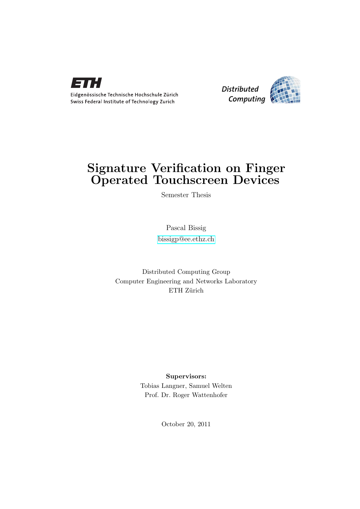

Eidgenössische Technische Hochschule Zürich Swiss Federal Institute of Technology Zurich



# Signature Verification on Finger Operated Touchscreen Devices

Semester Thesis

Pascal Bissig [bissigp@ee.ethz.ch](mailto:Pascal Bissig<bissigp@ee.ethz.ch>)

Distributed Computing Group Computer Engineering and Networks Laboratory ETH Zürich

> Supervisors: Tobias Langner, Samuel Welten Prof. Dr. Roger Wattenhofer

> > October 20, 2011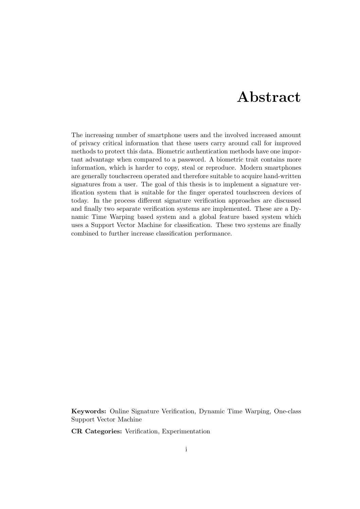# Abstract

<span id="page-1-0"></span>The increasing number of smartphone users and the involved increased amount of privacy critical information that these users carry around call for improved methods to protect this data. Biometric authentication methods have one important advantage when compared to a password. A biometric trait contains more information, which is harder to copy, steal or reproduce. Modern smartphones are generally touchscreen operated and therefore suitable to acquire hand-written signatures from a user. The goal of this thesis is to implement a signature verification system that is suitable for the finger operated touchscreen devices of today. In the process different signature verification approaches are discussed and finally two separate verification systems are implemented. These are a Dynamic Time Warping based system and a global feature based system which uses a Support Vector Machine for classification. These two systems are finally combined to further increase classification performance.

Keywords: Online Signature Verification, Dynamic Time Warping, One-class Support Vector Machine

CR Categories: Verification, Experimentation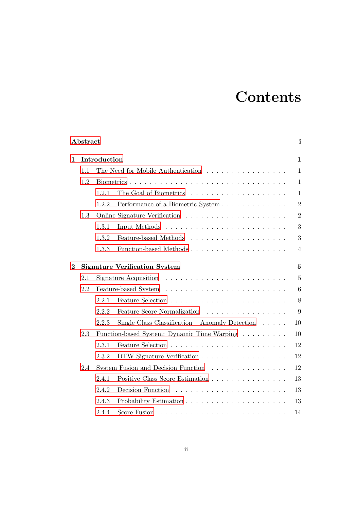# **Contents**

|                  | Abstract |              |                                                                          | i              |
|------------------|----------|--------------|--------------------------------------------------------------------------|----------------|
| 1                |          | Introduction |                                                                          | $\mathbf{1}$   |
|                  | 1.1      |              | The Need for Mobile Authentication                                       | $\mathbf{1}$   |
|                  | 1.2      |              |                                                                          | $\mathbf{1}$   |
|                  |          | 1.2.1        |                                                                          | $\mathbf{1}$   |
|                  |          | 1.2.2        |                                                                          | $\overline{2}$ |
|                  | 1.3      |              |                                                                          | $\overline{2}$ |
|                  |          | 1.3.1        |                                                                          | 3              |
|                  |          | 1.3.2        |                                                                          | 3              |
|                  |          | 1.3.3        | Function-based Methods                                                   | $\overline{4}$ |
| $\boldsymbol{2}$ |          |              | <b>Signature Verification System</b>                                     | $\overline{5}$ |
|                  | 2.1      |              | Signature Acquisition $\ldots \ldots \ldots \ldots \ldots \ldots \ldots$ | $\overline{5}$ |
|                  | 2.2      |              |                                                                          | 6              |
|                  |          | 2.2.1        |                                                                          | 8              |
|                  |          | 2.2.2        | Feature Score Normalization                                              | 9              |
|                  |          | 2.2.3        | Single Class Classification – Anomaly Detection $\ldots$ .               | 10             |
|                  | 2.3      |              | Function-based System: Dynamic Time Warping                              | 10             |
|                  |          | 2.3.1        |                                                                          | 12             |
|                  |          | 2.3.2        | DTW Signature Verification                                               | 12             |
|                  | 2.4      |              | System Fusion and Decision Function                                      | 12             |
|                  |          | 2.4.1        |                                                                          | 13             |
|                  |          | 2.4.2        |                                                                          | 13             |
|                  |          | 2.4.3        |                                                                          | 13             |
|                  |          | 2.4.4        |                                                                          | 14             |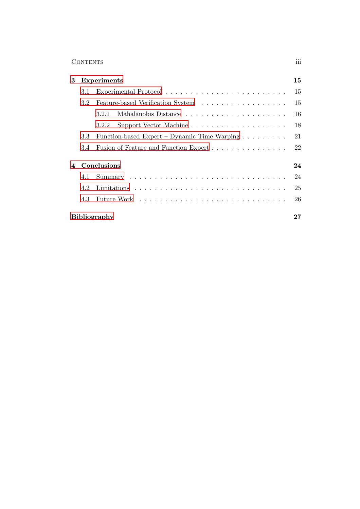### Contents iii

| 3 |     | <b>Experiments</b>                           | 15 |
|---|-----|----------------------------------------------|----|
|   | 3.1 |                                              | 15 |
|   | 3.2 |                                              | 15 |
|   |     | 3.2.1                                        | 16 |
|   |     | Support Vector Machine<br>3.2.2              | 18 |
|   | 3.3 | Function-based Expert – Dynamic Time Warping | 21 |
|   | 3.4 |                                              | 22 |
| 4 |     | Conclusions                                  | 24 |
|   | 4.1 |                                              | 24 |
|   | 4.2 |                                              | 25 |
|   | 4.3 |                                              | 26 |
|   |     | <b>Bibliography</b>                          | 27 |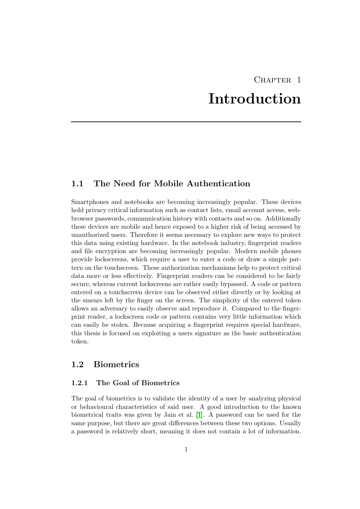# CHAPTER<sub>1</sub> Introduction

## <span id="page-4-1"></span><span id="page-4-0"></span>1.1 The Need for Mobile Authentication

Smartphones and notebooks are becoming increasingly popular. These devices hold privacy critical information such as contact lists, email account access, webbrowser passwords, communication history with contacts and so on. Additionally these devices are mobile and hence exposed to a higher risk of being accessed by unauthorized users. Therefore it seems necessary to explore new ways to protect this data using existing hardware. In the notebook industry, fingerprint readers and file encryption are becoming increasingly popular. Modern mobile phones provide lockscreens, which require a user to enter a code or draw a simple pattern on the touchscreen. These authorization mechanisms help to protect critical data more or less effectively. Fingerprint readers can be considered to be fairly secure, whereas current lockscreens are rather easily bypassed. A code or pattern entered on a touchscreen device can be observed either directly or by looking at the smears left by the finger on the screen. The simplicity of the entered token allows an adversary to easily observe and reproduce it. Compared to the fingerprint reader, a lockscreen code or pattern contains very little information which can easily be stolen. Because acquiring a fingerprint requires special hardware, this thesis is focused on exploiting a users signature as the basic authentication token.

# <span id="page-4-3"></span><span id="page-4-2"></span>1.2 Biometrics

#### 1.2.1 The Goal of Biometrics

The goal of biometrics is to validate the identity of a user by analyzing physical or behavioural characteristics of said user. A good introduction to the known biometrical traits was given by Jain et al. [\[1\]](#page-30-1). A password can be used for the same purpose, but there are great differences between these two options. Usually a password is relatively short, meaning it does not contain a lot of information.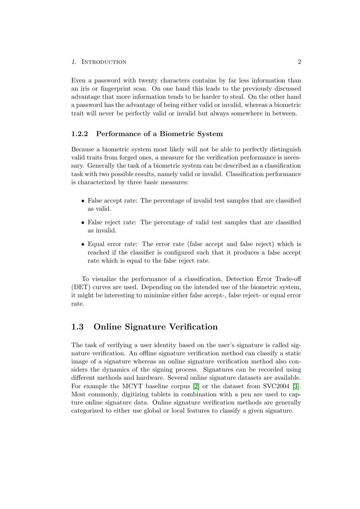#### 1. INTRODUCTION 2

Even a password with twenty characters contains by far less information than an iris or fingerprint scan. On one hand this leads to the previously discussed advantage that more information tends to be harder to steal. On the other hand a password has the advantage of being either valid or invalid, whereas a biometric trait will never be perfectly valid or invalid but always somewhere in between.

#### <span id="page-5-0"></span>1.2.2 Performance of a Biometric System

Because a biometric system most likely will not be able to perfectly distinguish valid traits from forged ones, a measure for the verification performance is necessary. Generally the task of a biometric system can be described as a classification task with two possible results, namely valid or invalid. Classification performance is characterized by three basic measures:

- False accept rate: The percentage of invalid test samples that are classified as valid.
- False reject rate: The percentage of valid test samples that are classified as invalid.
- Equal error rate: The error rate (false accept and false reject) which is reached if the classifier is configured such that it produces a false accept rate which is equal to the false reject rate.

To visualize the performance of a classification, Detection Error Trade-off (DET) curves are used. Depending on the intended use of the biometric system, it might be interesting to minimize either false accept-, false reject- or equal error rate.

# <span id="page-5-1"></span>1.3 Online Signature Verification

The task of verifying a user identity based on the user's signature is called signature verification. An offline signature verification method can classify a static image of a signature whereas an online signature verification method also considers the dynamics of the signing process. Signatures can be recorded using different methods and hardware. Several online signature datasets are available. For example the MCYT baseline corpus [\[2\]](#page-30-2) or the dataset from SVC2004 [\[3\]](#page-30-3). Most commonly, digitizing tablets in combination with a pen are used to capture online signature data. Online signature verification methods are generally categorized to either use global or local features to classify a given signature.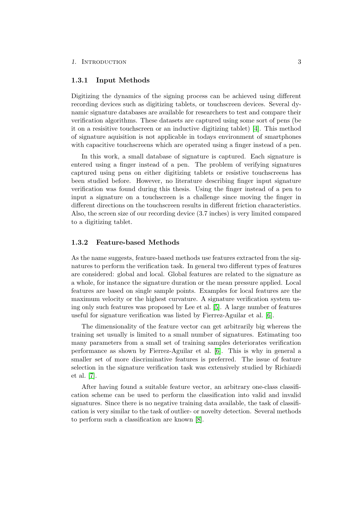#### 1. INTRODUCTION 3

#### <span id="page-6-0"></span>1.3.1 Input Methods

Digitizing the dynamics of the signing process can be achieved using different recording devices such as digitizing tablets, or touchscreen devices. Several dynamic signature databases are available for researchers to test and compare their verification algorithms. These datasets are captured using some sort of pens (be it on a resisitive touchscreen or an inductive digitizing tablet) [\[4\]](#page-30-4). This method of signature aquisition is not applicable in todays environment of smartphones with capacitive touchscreens which are operated using a finger instead of a pen.

In this work, a small database of signature is captured. Each signature is entered using a finger instead of a pen. The problem of verifying signatures captured using pens on either digitizing tablets or resistive touchscreens has been studied before. However, no literature describing finger input signature verification was found during this thesis. Using the finger instead of a pen to input a signature on a touchscreen is a challenge since moving the finger in different directions on the touchscreen results in different friction characteristics. Also, the screen size of our recording device (3.7 inches) is very limited compared to a digitizing tablet.

#### <span id="page-6-1"></span>1.3.2 Feature-based Methods

As the name suggests, feature-based methods use features extracted from the signatures to perform the verification task. In general two different types of features are considered: global and local. Global features are related to the signature as a whole, for instance the signature duration or the mean pressure applied. Local features are based on single sample points. Examples for local features are the maximum velocity or the highest curvature. A signature verification system using only such features was proposed by Lee et al. [\[5\]](#page-30-5). A large number of features useful for signature verification was listed by Fierrez-Aguilar et al. [\[6\]](#page-30-6).

The dimensionality of the feature vector can get arbitrarily big whereas the training set usually is limited to a small number of signatures. Estimating too many parameters from a small set of training samples deteriorates verification performance as shown by Fierrez-Aguilar et al. [\[6\]](#page-30-6). This is why in general a smaller set of more discriminative features is preferred. The issue of feature selection in the signature verification task was extensively studied by Richiardi et al. [\[7\]](#page-30-7).

After having found a suitable feature vector, an arbitrary one-class classification scheme can be used to perform the classification into valid and invalid signatures. Since there is no negative training data available, the task of classification is very similar to the task of outlier- or novelty detection. Several methods to perform such a classification are known [\[8\]](#page-30-8).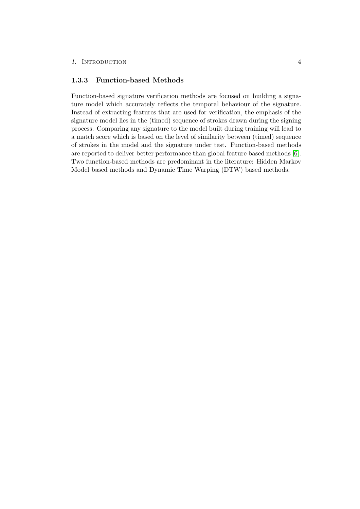#### <span id="page-7-0"></span>1.3.3 Function-based Methods

Function-based signature verification methods are focused on building a signature model which accurately reflects the temporal behaviour of the signature. Instead of extracting features that are used for verification, the emphasis of the signature model lies in the (timed) sequence of strokes drawn during the signing process. Comparing any signature to the model built during training will lead to a match score which is based on the level of similarity between (timed) sequence of strokes in the model and the signature under test. Function-based methods are reported to deliver better performance than global feature based methods [\[6\]](#page-30-6). Two function-based methods are predominant in the literature: Hidden Markov Model based methods and Dynamic Time Warping (DTW) based methods.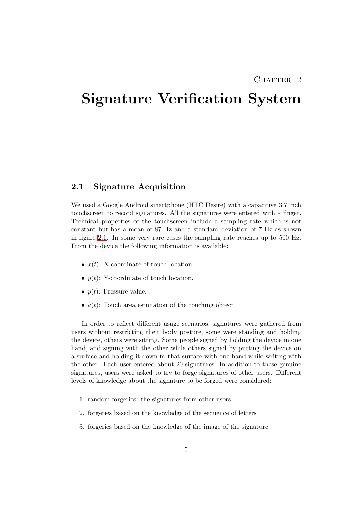# CHAPTER<sub>2</sub>

# <span id="page-8-0"></span>Signature Verification System

### <span id="page-8-1"></span>2.1 Signature Acquisition

We used a Google Android smartphone (HTC Desire) with a capacitive 3.7 inch touchscreen to record signatures. All the signatures were entered with a finger. Technical properties of the touchscreen include a sampling rate which is not constant but has a mean of 87 Hz and a standard deviation of 7 Hz as shown in figure [2.1.](#page-9-1) In some very rare cases the sampling rate reaches up to 500 Hz. From the device the following information is available:

- $x(t)$ : X-coordinate of touch location.
- $y(t)$ : Y-coordinate of touch location.
- $p(t)$ : Pressure value.
- $a(t)$ : Touch area estimation of the touching object

In order to reflect different usage scenarios, signatures were gathered from users without restricting their body posture, some were standing and holding the device, others were sitting. Some people signed by holding the device in one hand, and signing with the other while others signed by putting the device on a surface and holding it down to that surface with one hand while writing with the other. Each user entered about 20 signatures. In addition to these genuine signatures, users were asked to try to forge signatures of other users. Different levels of knowledge about the signature to be forged were considered:

- 1. random forgeries: the signatures from other users
- 2. forgeries based on the knowledge of the sequence of letters
- 3. forgeries based on the knowledge of the image of the signature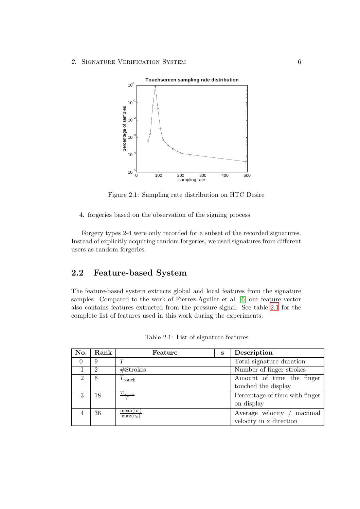

<span id="page-9-1"></span>Figure 2.1: Sampling rate distribution on HTC Desire

4. forgeries based on the observation of the signing process

Forgery types 2-4 were only recorded for a subset of the recorded signatures. Instead of explicitly acquiring random forgeries, we used signatures from different users as random forgeries.

# <span id="page-9-0"></span>2.2 Feature-based System

The feature-based system extracts global and local features from the signature samples. Compared to the work of Fierrez-Aguilar et al. [\[6\]](#page-30-6) our feature vector also contains features extracted from the pressure signal. See table [2.1](#page-9-2) for the complete list of features used in this work during the experiments.

<span id="page-9-2"></span>

| No. | Rank | Feature                   | S | Description                    |  |
|-----|------|---------------------------|---|--------------------------------|--|
|     | 9    | T                         |   | Total signature duration       |  |
|     | 2    | $# \text{Strokes}$        |   | Number of finger strokes       |  |
| 2   | 6    | $T_{\rm touch}$           |   | Amount of time the finger      |  |
|     |      |                           |   | touched the display            |  |
| 3   | 18   | $\frac{T_{\rm touch}}{T}$ |   | Percentage of time with finger |  |
|     |      |                           |   | on display                     |  |
|     | 36   | mean( v )<br>$max(v_x)$   |   | Average velocity / maximal     |  |
|     |      |                           |   | velocity in x direction        |  |

Table 2.1: List of signature features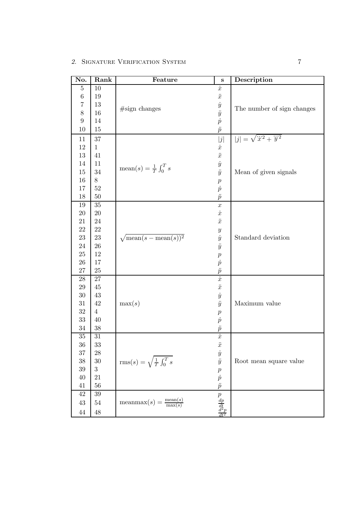| No.            | Rank           | Feature                                                    | $\bf S$                                                                          | Description                            |
|----------------|----------------|------------------------------------------------------------|----------------------------------------------------------------------------------|----------------------------------------|
| $\overline{5}$ | 10             |                                                            | $\dot{x}$                                                                        |                                        |
| $\!6\,$        | 19             |                                                            | $\ddot{x}$                                                                       |                                        |
| $\overline{7}$ | 13             |                                                            |                                                                                  |                                        |
| 8              | 16             | #sign changes                                              |                                                                                  | The number of sign changes             |
| 9              | 14             |                                                            |                                                                                  |                                        |
| 10             | 15             |                                                            | $\begin{array}{c} \dot{y} \ \ddot{y} \ \dot{p} \ \ddot{p} \end{array}$           |                                        |
| 11             | $37\,$         |                                                            | j                                                                                | $ j  = \sqrt{\ddot{x}^2 + \ddot{y}^2}$ |
| 12             | $\mathbf{1}$   |                                                            | $\dot{x}$                                                                        |                                        |
| 13             | 41             |                                                            | $\ddot{x}$                                                                       |                                        |
| 14             | 11             |                                                            |                                                                                  |                                        |
| 15             | $34\,$         | $\mathrm{mean}(s) = \frac{1}{T} \int_0^T s$                | $\frac{\dot{y}}{\ddot{y}}$                                                       | Mean of given signals                  |
| $16\,$         | 8              |                                                            | $\boldsymbol{p}$                                                                 |                                        |
| 17             | $52\,$         |                                                            |                                                                                  |                                        |
| 18             | $50\,$         |                                                            | $\frac{\dot{p}}{\ddot{p}}$                                                       |                                        |
| 19             | $35\,$         |                                                            | $\boldsymbol{x}$                                                                 |                                        |
| $20\,$         | $20\,$         |                                                            | $\dot{x}$                                                                        |                                        |
| 21             | $24\,$         |                                                            | $\ddot{x}$                                                                       |                                        |
| $22\,$         | $22\,$         |                                                            | $\boldsymbol{y}$                                                                 |                                        |
| $23\,$         | $23\,$         | $\sqrt{\text{mean}(s - \text{mean}(s))^2}$                 | $\dot{y}$                                                                        | Standard deviation                     |
| $24\,$         | $26\,$         |                                                            | $\ddot{y}$                                                                       |                                        |
| $25\,$         | $12\,$         |                                                            |                                                                                  |                                        |
| $26\,$         | $17\,$         |                                                            |                                                                                  |                                        |
| $27\,$         | $25\,$         |                                                            | $\frac{p}{\dot{p}} \\ \frac{\ddot{p}}{\dot{x}}$                                  |                                        |
| $28\,$         | $27\,$         |                                                            |                                                                                  |                                        |
| $29\,$         | $45\,$         |                                                            | $\ddot{x}$                                                                       |                                        |
| $30\,$         | $43\,$         |                                                            | $\dot{y}$                                                                        |                                        |
| $31\,$         | $42\,$         | max(s)                                                     | $\ddot{y}$                                                                       | Maximum value                          |
| $32\,$         | $\overline{4}$ |                                                            |                                                                                  |                                        |
| 33             | 40             |                                                            |                                                                                  |                                        |
| $34\,$         | $38\,$         |                                                            | $\frac{p}{\dot{p}}$                                                              |                                        |
| $35\,$         | 31             |                                                            | $\dot{x}$                                                                        |                                        |
| $36\,$         | 33             |                                                            | $\ddot{x}$                                                                       |                                        |
| $37\,$         | $28\,$         |                                                            | $\dot{y}$                                                                        |                                        |
| $38\,$         | $30\,$         | $\text{rms}(s) = \sqrt{\frac{1}{T} \int_0^T s}$            | $\ddot{y}$                                                                       | Root mean square value                 |
| $39\,$         | 3              |                                                            | $\boldsymbol{p}$                                                                 |                                        |
| $40\,$         | $21\,$         |                                                            |                                                                                  |                                        |
| 41             | $56\,$         |                                                            | $\frac{\dot{p}}{\ddot{p}}$                                                       |                                        |
| $42\,$         | $39\,$         |                                                            |                                                                                  |                                        |
| $43\,$         | $54\,$         | $\text{meanmax}(s) = \frac{\text{mean}(s)}{\text{max}(s)}$ |                                                                                  |                                        |
| $44\,$         | 48             |                                                            | $\begin{array}{c}\n\hline\np \\ \frac{dp}{dt} \\ \frac{d^2p}{dt^2}\n\end{array}$ |                                        |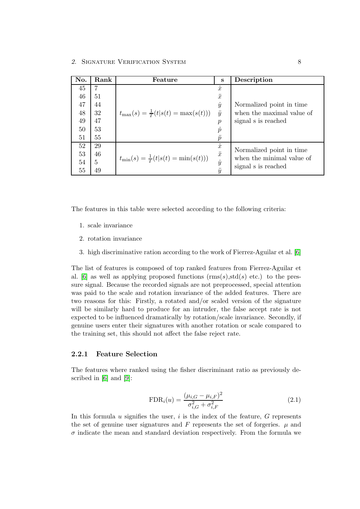| No. | Rank | Feature                                          | S                                    | Description               |
|-----|------|--------------------------------------------------|--------------------------------------|---------------------------|
| 45  | 7    |                                                  | $\dot{x}$                            |                           |
| 46  | 51   |                                                  | $\ddot{x}$                           |                           |
| 47  | 44   |                                                  | $\dot{y}$                            | Normalized point in time. |
| 48  | 32   | $t_{\max}(s) = \frac{1}{T}(t s(t) = \max(s(t)))$ | $\ddot{y}$                           | when the maximal value of |
| 49  | 47   |                                                  | $\, p \,$                            | signal s is reached       |
| 50  | 53   |                                                  | $\dot{p}$                            |                           |
| 51  | 55   |                                                  | $\tilde{p}$                          |                           |
| 52  | 29   |                                                  | $\boldsymbol{x}$                     | Normalized point in time. |
| 53  | 46   | $t_{\min}(s) = \frac{1}{T}(t s(t) = \min(s(t)))$ | $\bullet\bullet$<br>$\boldsymbol{x}$ | when the minimal value of |
| 54  | 5    |                                                  | $\dot{y}$                            | signal s is reached       |
| 55  | 49   |                                                  | $\ddot{y}$                           |                           |

The features in this table were selected according to the following criteria:

- 1. scale invariance
- 2. rotation invariance
- 3. high discriminative ration according to the work of Fierrez-Aguilar et al. [\[6\]](#page-30-6)

The list of features is composed of top ranked features from Fierrez-Aguilar et al. [\[6\]](#page-30-6) as well as applying proposed functions  $(rms(s), std(s) etc.)$  to the pressure signal. Because the recorded signals are not preprocessed, special attention was paid to the scale and rotation invariance of the added features. There are two reasons for this: Firstly, a rotated and/or scaled version of the signature will be similarly hard to produce for an intruder, the false accept rate is not expected to be influenced dramatically by rotation/scale invariance. Secondly, if genuine users enter their signatures with another rotation or scale compared to the training set, this should not affect the false reject rate.

#### <span id="page-11-0"></span>2.2.1 Feature Selection

The features where ranked using the fisher discriminant ratio as previously described in [\[6\]](#page-30-6) and [\[9\]](#page-30-9):

$$
\text{FDR}_i(u) = \frac{(\mu_{i,G} - \mu_{i,F})^2}{\sigma_{i,G}^2 + \sigma_{i,F}^2}
$$
\n(2.1)

In this formula  $u$  signifies the user,  $i$  is the index of the feature,  $G$  represents the set of genuine user signatures and  $F$  represents the set of forgeries.  $\mu$  and  $\sigma$  indicate the mean and standard deviation respectively. From the formula we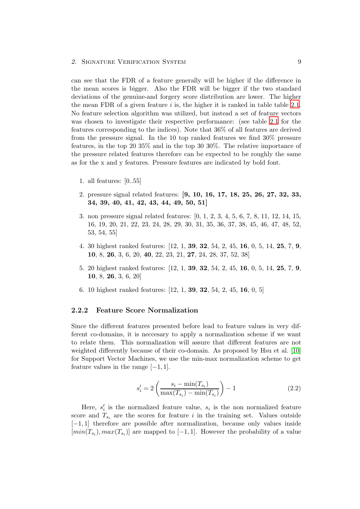can see that the FDR of a feature generally will be higher if the difference in the mean scores is bigger. Also the FDR will be bigger if the two standard deviations of the genuine-and forgery score distribution are lower. The higher the mean FDR of a given feature  $i$  is, the higher it is ranked in table table [2.1.](#page-9-2) No feature selection algorithm was utilized, but instead a set of feature vectors was chosen to investigate their respective performance: (see table [2.1](#page-9-2) for the features corresponding to the indices). Note that 36% of all features are derived from the pressure signal. In the 10 top ranked features we find 30% pressure features, in the top 20 35% and in the top 30 30%. The relative importance of the pressure related features therefore can be expected to be roughly the same as for the x and y features. Pressure features are indicated by bold font.

- 1. all features: [0..55]
- 2. pressure signal related features: [9, 10, 16, 17, 18, 25, 26, 27, 32, 33, 34, 39, 40, 41, 42, 43, 44, 49, 50, 51]
- 3. non pressure signal related features: [0, 1, 2, 3, 4, 5, 6, 7, 8, 11, 12, 14, 15, 16, 19, 20, 21, 22, 23, 24, 28, 29, 30, 31, 35, 36, 37, 38, 45, 46, 47, 48, 52, 53, 54, 55]
- 4. 30 highest ranked features: [12, 1, 39, 32, 54, 2, 45, 16, 0, 5, 14, 25, 7, 9, 10, 8, 26, 3, 6, 20, 40, 22, 23, 21, 27, 24, 28, 37, 52, 38]
- 5. 20 highest ranked features: [12, 1, 39, 32, 54, 2, 45, 16, 0, 5, 14, 25, 7, 9, 10, 8, 26, 3, 6, 20]
- 6. 10 highest ranked features: [12, 1, 39, 32, 54, 2, 45, 16, 0, 5]

#### <span id="page-12-0"></span>2.2.2 Feature Score Normalization

Since the different features presented before lead to feature values in very different co-domains, it is neccesary to apply a normalization scheme if we want to relate them. This normalization will assure that different features are not weighted differently because of their co-domain. As proposed by Hsu et al. [\[10\]](#page-31-0) for Support Vector Machines, we use the min-max normalization scheme to get feature values in the range  $[-1, 1]$ .

$$
s_i' = 2\left(\frac{s_i - \min(T_{s_i})}{\max(T_{s_i}) - \min(T_{s_i})}\right) - 1\tag{2.2}
$$

Here,  $s_i'$  is the normalized feature value,  $s_i$  is the non normalized feature score and  $T_{s_i}$  are the scores for feature i in the training set. Values outside [−1, 1] therefore are possible after normalization, because only values inside  $[min(T_{s_i}), max(T_{s_i})]$  are mapped to  $[-1, 1]$ . However the probability of a value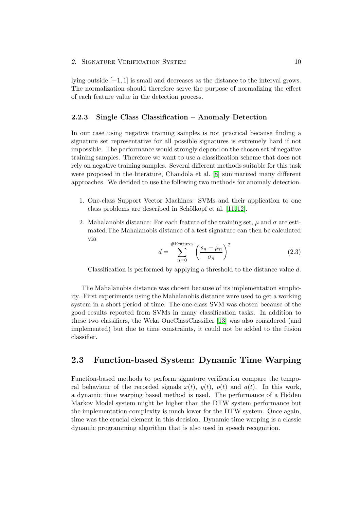lying outside  $[-1, 1]$  is small and decreases as the distance to the interval grows. The normalization should therefore serve the purpose of normalizing the effect of each feature value in the detection process.

### <span id="page-13-0"></span>2.2.3 Single Class Classification – Anomaly Detection

In our case using negative training samples is not practical because finding a signature set representative for all possible signatures is extremely hard if not impossible. The performance would strongly depend on the chosen set of negative training samples. Therefore we want to use a classification scheme that does not rely on negative training samples. Several different methods suitable for this task were proposed in the literature, Chandola et al. [\[8\]](#page-30-8) summarized many different approaches. We decided to use the following two methods for anomaly detection.

- 1. One-class Support Vector Machines: SVMs and their application to one class problems are described in Schölkopf et al. [\[11,](#page-31-1) [12\]](#page-31-2).
- 2. Mahalanobis distance: For each feature of the training set,  $\mu$  and  $\sigma$  are estimated.The Mahalanobis distance of a test signature can then be calculated via

$$
d = \sum_{n=0}^{\text{\#Features}} \left(\frac{s_n - \mu_n}{\sigma_n}\right)^2 \tag{2.3}
$$

Classification is performed by applying a threshold to the distance value d.

The Mahalanobis distance was chosen because of its implementation simplicity. First experiments using the Mahalanobis distance were used to get a working system in a short period of time. The one-class SVM was chosen because of the good results reported from SVMs in many classification tasks. In addition to these two classifiers, the Weka OneClassClassifier [\[13\]](#page-31-3) was also considered (and implemented) but due to time constraints, it could not be added to the fusion classifier.

# <span id="page-13-1"></span>2.3 Function-based System: Dynamic Time Warping

Function-based methods to perform signature verification compare the temporal behaviour of the recorded signals  $x(t)$ ,  $y(t)$ ,  $p(t)$  and  $a(t)$ . In this work, a dynamic time warping based method is used. The performance of a Hidden Markov Model system might be higher than the DTW system performance but the implementation complexity is much lower for the DTW system. Once again, time was the crucial element in this decision. Dynamic time warping is a classic dynamic programming algorithm that is also used in speech recognition.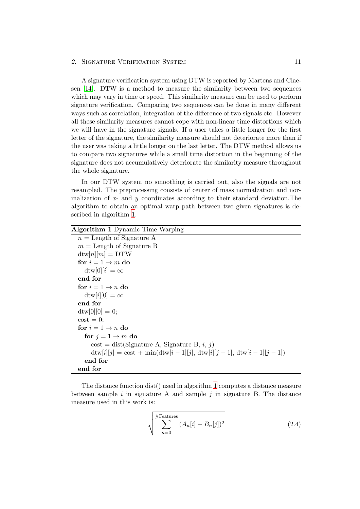#### 2. SIGNATURE VERIFICATION SYSTEM 11

A signature verification system using DTW is reported by Martens and Claesen [\[14\]](#page-31-4). DTW is a method to measure the similarity between two sequences which may vary in time or speed. This similarity measure can be used to perform signature verification. Comparing two sequences can be done in many different ways such as correlation, integration of the difference of two signals etc. However all these similarity measures cannot cope with non-linear time distortions which we will have in the signature signals. If a user takes a little longer for the first letter of the signature, the similarity measure should not deteriorate more than if the user was taking a little longer on the last letter. The DTW method allows us to compare two signatures while a small time distortion in the beginning of the signature does not accumulatively deteriorate the similarity measure throughout the whole signature.

In our DTW system no smoothing is carried out, also the signals are not resampled. The preprocessing consists of center of mass normalzation and normalization of  $x$ - and  $y$  coordinates according to their standard deviation. The algorithm to obtain an optimal warp path between two given signatures is described in algorithm [1](#page-14-0).

<span id="page-14-0"></span>

| <b>Algorithm 1</b> Dynamic Time Warping                                                                     |
|-------------------------------------------------------------------------------------------------------------|
| $n =$ Length of Signature A                                                                                 |
| $m =$ Length of Signature B                                                                                 |
| $\frac{d \text{tw}[n][m]}{=}$ DTW                                                                           |
| for $i = 1 \rightarrow m$ do                                                                                |
| $\mathrm{dtw}[0][i] = \infty$                                                                               |
| end for                                                                                                     |
| for $i = 1 \rightarrow n$ do                                                                                |
| $\mathrm{dt}w[i][0]=\infty$                                                                                 |
| end for                                                                                                     |
| $\frac{d \text{tw}[0][0]}{=} 0;$                                                                            |
| $\cos t = 0$ ;                                                                                              |
| for $i = 1 \rightarrow n$ do                                                                                |
| for $j = 1 \rightarrow m$ do                                                                                |
| $\text{cost} = \text{dist}(\text{Signature A}, \text{Signature B}, i, j)$                                   |
| $\frac{d w[i][j]}{=} \text{cost} + \min(\frac{d w[i-1][j]}{}, \frac{d w[i][j-1]}{}, \frac{d w[i-1][j-1]}{}$ |
| end for                                                                                                     |
| end for                                                                                                     |

The distance function dist() used in algorithm [1](#page-14-0) computes a distance measure between sample  $i$  in signature A and sample  $j$  in signature B. The distance measure used in this work is:

$$
\sqrt{\sum_{n=0}^{\text{#Features}} (A_n[i] - B_n[j])^2}
$$
 (2.4)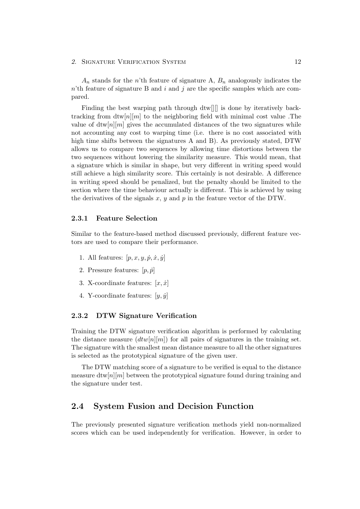#### 2. SIGNATURE VERIFICATION SYSTEM 12

 $A_n$  stands for the n'th feature of signature A,  $B_n$  analogously indicates the  $n<sup>i</sup>$ th feature of signature B and  $i$  and  $j$  are the specific samples which are compared.

Finding the best warping path through dtw[][] is done by iteratively backtracking from  $\frac{dim[n]}{m}$  to the neighboring field with minimal cost value . The value of  $\frac{d\text{tw}[n][m]}{n}$  gives the accumulated distances of the two signatures while not accounting any cost to warping time (i.e. there is no cost associated with high time shifts between the signatures A and B). As previously stated, DTW allows us to compare two sequences by allowing time distortions between the two sequences without lowering the similarity measure. This would mean, that a signature which is similar in shape, but very different in writing speed would still achieve a high similarity score. This certainly is not desirable. A difference in writing speed should be penalized, but the penalty should be limited to the section where the time behaviour actually is different. This is achieved by using the derivatives of the signals  $x, y$  and  $p$  in the feature vector of the DTW.

#### <span id="page-15-0"></span>2.3.1 Feature Selection

Similar to the feature-based method discussed previously, different feature vectors are used to compare their performance.

- 1. All features:  $[p, x, y, \dot{p}, \dot{x}, \dot{y}]$
- 2. Pressure features:  $[p, \dot{p}]$
- 3. X-coordinate features:  $[x, \dot{x}]$
- 4. Y-coordinate features:  $[y, \dot{y}]$

#### <span id="page-15-1"></span>2.3.2 DTW Signature Verification

Training the DTW signature verification algorithm is performed by calculating the distance measure  $(dtw[n][m])$  for all pairs of signatures in the training set. The signature with the smallest mean distance measure to all the other signatures is selected as the prototypical signature of the given user.

The DTW matching score of a signature to be verified is equal to the distance measure  $\frac{div[n]}{m}$  between the prototypical signature found during training and the signature under test.

### <span id="page-15-2"></span>2.4 System Fusion and Decision Function

The previously presented signature verification methods yield non-normalized scores which can be used independently for verification. However, in order to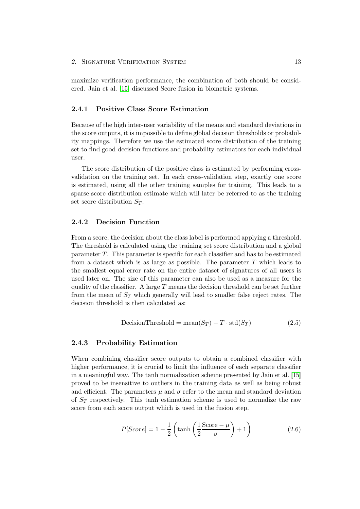#### 2. SIGNATURE VERIFICATION SYSTEM 13

maximize verification performance, the combination of both should be considered. Jain et al. [\[15\]](#page-31-5) discussed Score fusion in biometric systems.

#### <span id="page-16-0"></span>2.4.1 Positive Class Score Estimation

Because of the high inter-user variability of the means and standard deviations in the score outputs, it is impossible to define global decision thresholds or probability mappings. Therefore we use the estimated score distribution of the training set to find good decision functions and probability estimators for each individual user.

The score distribution of the positive class is estimated by performing crossvalidation on the training set. In each cross-validation step, exactly one score is estimated, using all the other training samples for training. This leads to a sparse score distribution estimate which will later be referred to as the training set score distribution  $S_T$ .

#### <span id="page-16-1"></span>2.4.2 Decision Function

From a score, the decision about the class label is performed applying a threshold. The threshold is calculated using the training set score distribution and a global parameter T. This parameter is specific for each classifier and has to be estimated from a dataset which is as large as possible. The parameter  $T$  which leads to the smallest equal error rate on the entire dataset of signatures of all users is used later on. The size of this parameter can also be used as a measure for the quality of the classifier. A large  $T$  means the decision threshold can be set further from the mean of  $S_T$  which generally will lead to smaller false reject rates. The decision threshold is then calculated as:

$$
DecisionThreshold = mean(S_T) - T \cdot std(S_T)
$$
\n(2.5)

#### <span id="page-16-4"></span><span id="page-16-2"></span>2.4.3 Probability Estimation

<span id="page-16-3"></span>When combining classifier score outputs to obtain a combined classifier with higher performance, it is crucial to limit the influence of each separate classifier in a meaningful way. The tanh normalization scheme presented by Jain et al. [\[15\]](#page-31-5) proved to be insensitive to outliers in the training data as well as being robust and efficient. The parameters  $\mu$  and  $\sigma$  refer to the mean and standard deviation of  $S_T$  respectively. This tanh estimation scheme is used to normalize the raw score from each score output which is used in the fusion step.

$$
P[Score] = 1 - \frac{1}{2} \left( \tanh\left(\frac{1}{2}\frac{\text{Score} - \mu}{\sigma}\right) + 1\right)
$$
 (2.6)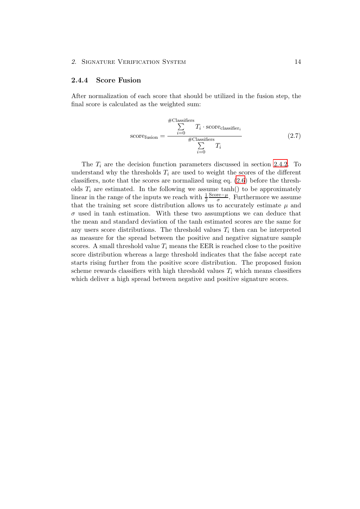#### <span id="page-17-0"></span>2.4.4 Score Fusion

<span id="page-17-1"></span>After normalization of each score that should be utilized in the fusion step, the final score is calculated as the weighted sum:

$$
\text{score}_{\text{fusion}} = \frac{\sum_{i=0}^{\#\text{Classifiers}} T_i \cdot \text{score}_{\text{classification}}}{\sum_{i=0}^{\#\text{Classifiers}} T_i} \tag{2.7}
$$

The  $T_i$  are the decision function parameters discussed in section [2.4.2](#page-16-1). To understand why the thresholds  $T_i$  are used to weight the scores of the different classifiers, note that the scores are normalized using eq. [\(2.6](#page-16-3)) before the thresholds  $T_i$  are estimated. In the following we assume tanh() to be approximately linear in the range of the inputs we reach with  $\frac{1}{2}$ Score $-\mu$  $\frac{\text{re}-\mu}{\sigma}$ . Furthermore we assume that the training set score distribution allows us to accurately estimate  $\mu$  and  $\sigma$  used in tanh estimation. With these two assumptions we can deduce that the mean and standard deviation of the tanh estimated scores are the same for any users score distributions. The threshold values  $T_i$  then can be interpreted as measure for the spread between the positive and negative signature sample scores. A small threshold value  $T_i$  means the EER is reached close to the positive score distribution whereas a large threshold indicates that the false accept rate starts rising further from the positive score distribution. The proposed fusion scheme rewards classifiers with high threshold values  $T_i$  which means classifiers which deliver a high spread between negative and positive signature scores.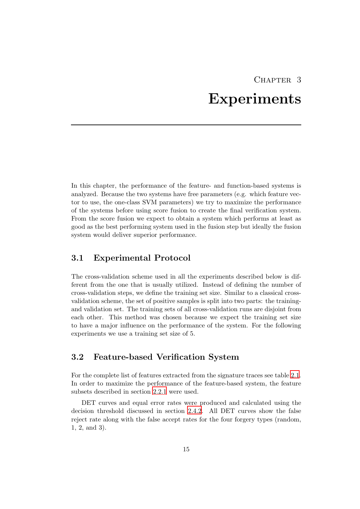# CHAPTER 3 Experiments

<span id="page-18-0"></span>In this chapter, the performance of the feature- and function-based systems is analyzed. Because the two systems have free parameters (e.g. which feature vector to use, the one-class SVM parameters) we try to maximize the performance of the systems before using score fusion to create the final verification system. From the score fusion we expect to obtain a system which performs at least as good as the best performing system used in the fusion step but ideally the fusion system would deliver superior performance.

# <span id="page-18-1"></span>3.1 Experimental Protocol

The cross-validation scheme used in all the experiments described below is different from the one that is usually utilized. Instead of defining the number of cross-validation steps, we define the training set size. Similar to a classical crossvalidation scheme, the set of positive samples is split into two parts: the trainingand validation set. The training sets of all cross-validation runs are disjoint from each other. This method was chosen because we expect the training set size to have a major influence on the performance of the system. For the following experiments we use a training set size of 5.

# <span id="page-18-2"></span>3.2 Feature-based Verification System

For the complete list of features extracted from the signature traces see table [2.1.](#page-9-2) In order to maximize the performance of the feature-based system, the feature subsets described in section [2.2.1](#page-11-0) were used.

DET curves and equal error rates were produced and calculated using the decision threshold discussed in section [2.4.2](#page-16-1). All DET curves show the false reject rate along with the false accept rates for the four forgery types (random, 1, 2, and 3).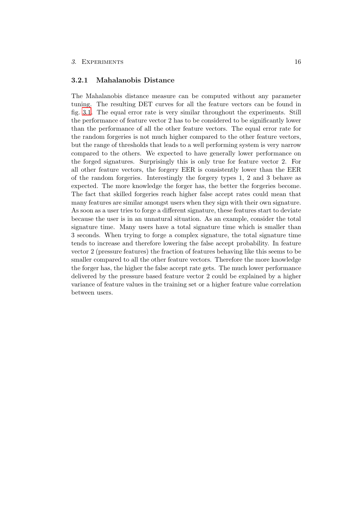#### <span id="page-19-0"></span>3.2.1 Mahalanobis Distance

The Mahalanobis distance measure can be computed without any parameter tuning. The resulting DET curves for all the feature vectors can be found in fig. [3.1](#page-20-0). The equal error rate is very similar throughout the experiments. Still the performance of feature vector 2 has to be considered to be significantly lower than the performance of all the other feature vectors. The equal error rate for the random forgeries is not much higher compared to the other feature vectors, but the range of thresholds that leads to a well performing system is very narrow compared to the others. We expected to have generally lower performance on the forged signatures. Surprisingly this is only true for feature vector 2. For all other feature vectors, the forgery EER is consistently lower than the EER of the random forgeries. Interestingly the forgery types 1, 2 and 3 behave as expected. The more knowledge the forger has, the better the forgeries become. The fact that skilled forgeries reach higher false accept rates could mean that many features are similar amongst users when they sign with their own signature. As soon as a user tries to forge a different signature, these features start to deviate because the user is in an unnatural situation. As an example, consider the total signature time. Many users have a total signature time which is smaller than 3 seconds. When trying to forge a complex signature, the total signature time tends to increase and therefore lowering the false accept probability. In feature vector 2 (pressure features) the fraction of features behaving like this seems to be smaller compared to all the other feature vectors. Therefore the more knowledge the forger has, the higher the false accept rate gets. The much lower performance delivered by the pressure based feature vector 2 could be explained by a higher variance of feature values in the training set or a higher feature value correlation between users.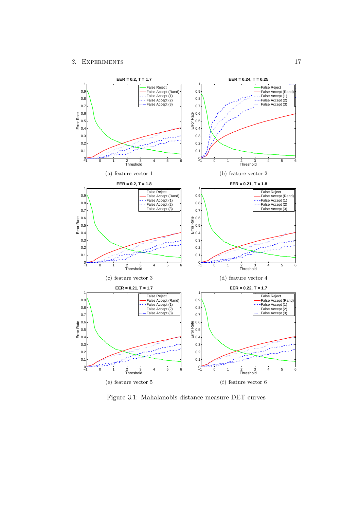<span id="page-20-1"></span>

<span id="page-20-0"></span>Figure 3.1: Mahalanobis distance measure DET curves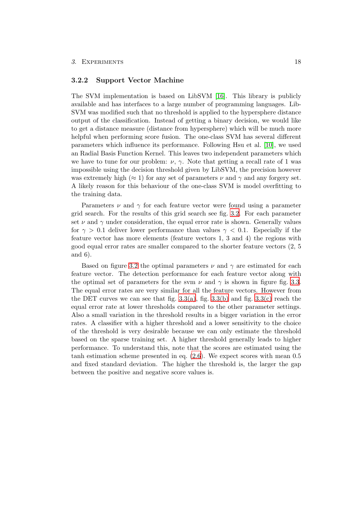#### <span id="page-21-0"></span>3.2.2 Support Vector Machine

The SVM implementation is based on LibSVM [\[16\]](#page-31-6). This library is publicly available and has interfaces to a large number of programming languages. Lib-SVM was modified such that no threshold is applied to the hypersphere distance output of the classification. Instead of getting a binary decision, we would like to get a distance measure (distance from hypersphere) which will be much more helpful when performing score fusion. The one-class SVM has several different parameters which influence its performance. Following Hsu et al. [\[10\]](#page-31-0), we used an Radial Basis Function Kernel. This leaves two independent parameters which we have to tune for our problem:  $\nu$ ,  $\gamma$ . Note that getting a recall rate of 1 was impossible using the decision threshold given by LibSVM, the precision however was extremely high ( $\approx 1$ ) for any set of parameters  $\nu$  and  $\gamma$  and any forgery set. A likely reason for this behaviour of the one-class SVM is model overfitting to the training data.

Parameters  $\nu$  and  $\gamma$  for each feature vector were found using a parameter grid search. For the results of this grid search see fig. [3.2](#page-22-0). For each parameter set  $\nu$  and  $\gamma$  under consideration, the equal error rate is shown. Generally values for  $\gamma > 0.1$  deliver lower performance than values  $\gamma < 0.1$ . Especially if the feature vector has more elements (feature vectors 1, 3 and 4) the regions with good equal error rates are smaller compared to the shorter feature vectors (2, 5 and 6).

Based on figure [3.2](#page-22-0) the optimal parameters  $\nu$  and  $\gamma$  are estimated for each feature vector. The detection performance for each feature vector along with the optimal set of parameters for the svm  $\nu$  and  $\gamma$  is shown in figure fig. [3.3.](#page-23-0) The equal error rates are very similar for all the feature vectors. However from the DET curves we can see that fig.  $3.3(a)$ , fig.  $3.3(b)$  and fig.  $3.3(c)$  reach the equal error rate at lower thresholds compared to the other parameter settings. Also a small variation in the threshold results in a bigger variation in the error rates. A classifier with a higher threshold and a lower sensitivity to the choice of the threshold is very desirable because we can only estimate the threshold based on the sparse training set. A higher threshold generally leads to higher performance. To understand this, note that the scores are estimated using the tanh estimation scheme presented in eq. [\(2.6\)](#page-16-3). We expect scores with mean 0.5 and fixed standard deviation. The higher the threshold is, the larger the gap between the positive and negative score values is.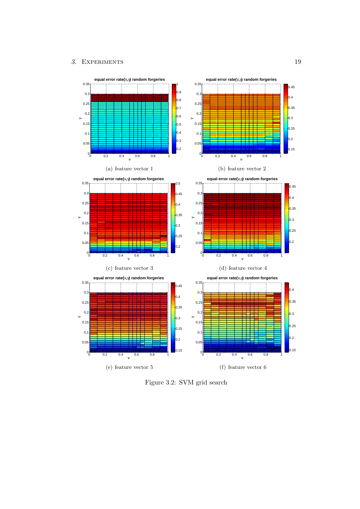

<span id="page-22-0"></span>Figure 3.2: SVM grid search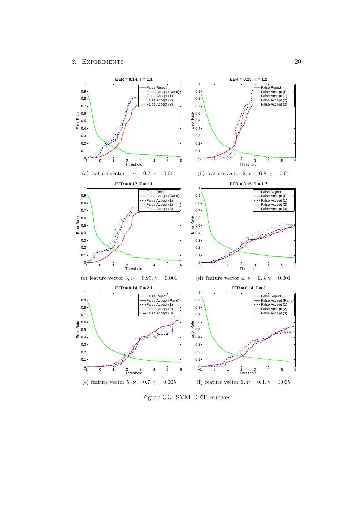<span id="page-23-2"></span><span id="page-23-1"></span>

<span id="page-23-3"></span><span id="page-23-0"></span>Figure 3.3: SVM DET courves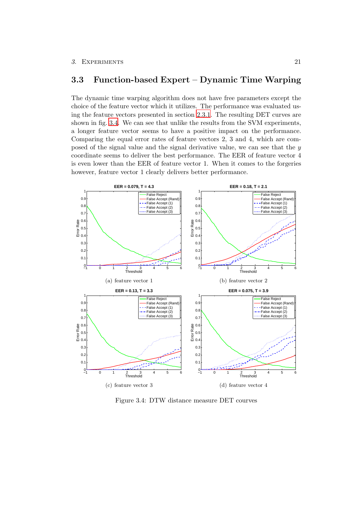### <span id="page-24-0"></span>3.3 Function-based Expert – Dynamic Time Warping

The dynamic time warping algorithm does not have free parameters except the choice of the feature vector which it utilizes. The performance was evaluated using the feature vectors presented in section [2.3.1](#page-15-0). The resulting DET curves are shown in fig. [3.4.](#page-24-1) We can see that unlike the results from the SVM experiments, a longer feature vector seems to have a positive impact on the performance. Comparing the equal error rates of feature vectors 2, 3 and 4, which are composed of the signal value and the signal derivative value, we can see that the y coordinate seems to deliver the best performance. The EER of feature vector 4 is even lower than the EER of feature vector 1. When it comes to the forgeries however, feature vector 1 clearly delivers better performance.



<span id="page-24-2"></span><span id="page-24-1"></span>Figure 3.4: DTW distance measure DET courves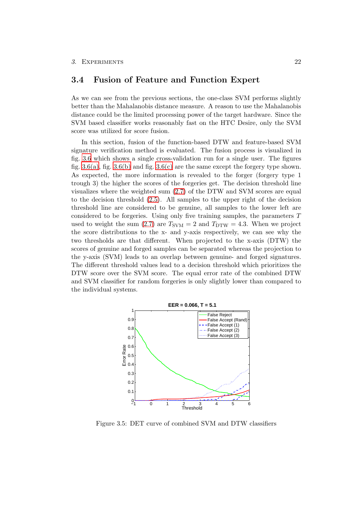### <span id="page-25-0"></span>3.4 Fusion of Feature and Function Expert

As we can see from the previous sections, the one-class SVM performs slightly better than the Mahalanobis distance measure. A reason to use the Mahalanobis distance could be the limited processing power of the target hardware. Since the SVM based classifier works reasonably fast on the HTC Desire, only the SVM score was utilized for score fusion.

In this section, fusion of the function-based DTW and feature-based SVM signature verification method is evaluated. The fusion process is visualized in fig. [3.6](#page-26-0) which shows a single cross-validation run for a single user. The figures fig.  $3.6(a)$ , fig.  $3.6(b)$  and fig.  $3.6(c)$  are the same except the forgery type shown. As expected, the more information is revealed to the forger (forgery type 1 trough 3) the higher the scores of the forgeries get. The decision threshold line visualizes where the weighted sum [\(2.7\)](#page-17-1) of the DTW and SVM scores are equal to the decision threshold [\(2.5\)](#page-16-4). All samples to the upper right of the decision threshold line are considered to be genuine, all samples to the lower left are considered to be forgeries. Using only five training samples, the parameters T used to weight the sum [\(2.7\)](#page-17-1) are  $T_{\text{SVM}} = 2$  and  $T_{\text{DTW}} = 4.3$ . When we project the score distributions to the x- and y-axis respectively, we can see why the two thresholds are that different. When projected to the x-axis (DTW) the scores of genuine and forged samples can be separated whereas the projection to the y-axis (SVM) leads to an overlap between genuine- and forged signatures. The different threshold values lead to a decision threshold which prioritizes the DTW score over the SVM score. The equal error rate of the combined DTW and SVM classifier for random forgeries is only slightly lower than compared to the individual systems.



Figure 3.5: DET curve of combined SVM and DTW classifiers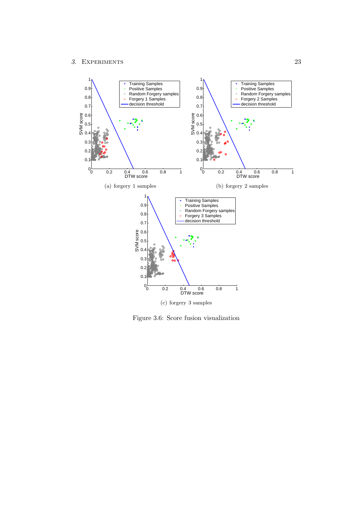<span id="page-26-1"></span>

<span id="page-26-3"></span><span id="page-26-2"></span><span id="page-26-0"></span>Figure 3.6: Score fusion visualization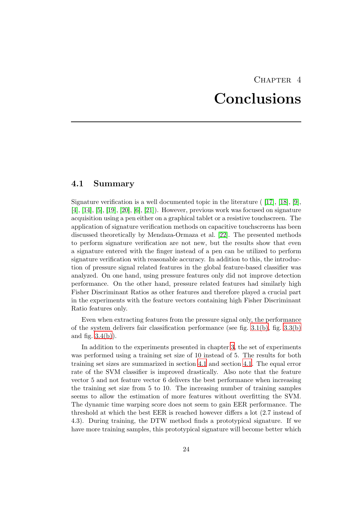# CHAPTER<sub>4</sub> Conclusions

# <span id="page-27-1"></span><span id="page-27-0"></span>4.1 Summary

Signature verification is a well documented topic in the literature ( [\[17\]](#page-31-7), [\[18\]](#page-31-8), [\[9\]](#page-30-9), [\[4\]](#page-30-4), [\[14\]](#page-31-4), [\[5\]](#page-30-5), [\[19\]](#page-31-9), [\[20\]](#page-31-10), [\[6\]](#page-30-6), [\[21\]](#page-31-11)). However, previous work was focused on signature acquisition using a pen either on a graphical tablet or a resistive touchscreen. The application of signature verification methods on capacitive touchscreens has been discussed theoretically by Mendaza-Ormaza et al. [\[22\]](#page-31-12). The presented methods to perform signature verification are not new, but the results show that even a signature entered with the finger instead of a pen can be utilized to perform signature verification with reasonable accuracy. In addition to this, the introduction of pressure signal related features in the global feature-based classifier was analyzed. On one hand, using pressure features only did not improve detection performance. On the other hand, pressure related features had similarly high Fisher Discriminant Ratios as other features and therefore played a crucial part in the experiments with the feature vectors containing high Fisher Discriminant Ratio features only.

Even when extracting features from the pressure signal only, the performance of the system delivers fair classification performance (see fig. [3.1\(b\)](#page-20-1), fig. [3.3\(b\)](#page-23-2) and fig.  $3.4(b)$ ).

In addition to the experiments presented in chapter [3](#page-18-0), the set of experiments was performed using a training set size of 10 instead of 5. The results for both training set sizes are summarized in section [4.1](#page-27-1) and section [4.1](#page-28-1). The equal error rate of the SVM classifier is improved drastically. Also note that the feature vector 5 and not feature vector 6 delivers the best performance when increasing the training set size from 5 to 10. The increasing number of training samples seems to allow the estimation of more features without overfitting the SVM. The dynamic time warping score does not seem to gain EER performance. The threshold at which the best EER is reached however differs a lot (2.7 instead of 4.3). During training, the DTW method finds a prototypical signature. If we have more training samples, this prototypical signature will become better which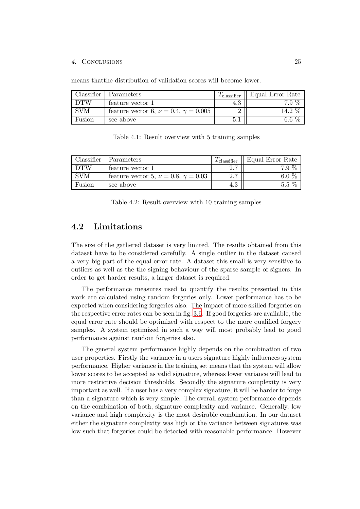#### 4. Conclusions 25

means thatthe distribution of validation scores will become lower.

| Classifier | Parameters                                       | $I_{\text{ classifier}}$ | Equal Error Rate |
|------------|--------------------------------------------------|--------------------------|------------------|
| <b>DTW</b> | feature vector 1                                 | 4.O                      | 7.9 %            |
| <b>SVM</b> | feature vector 6, $\nu = 0.4$ , $\gamma = 0.005$ |                          | $14.2\%$         |
| Fusion     | see above                                        |                          | 6.6 $%$          |

<span id="page-28-1"></span>Table 4.1: Result overview with 5 training samples

| Classifier | Parameters                                      | $\mu$ classifier | Equal Error Rate |
|------------|-------------------------------------------------|------------------|------------------|
| DTW        | feature vector 1                                | <u>ດ 7</u>       | $7.9\%$          |
| <b>SVM</b> | feature vector 5, $\nu = 0.8$ , $\gamma = 0.03$ | 2.7              | 60%              |
| Fusion     | see above                                       | 4.3              | $5.5\%$          |

Table 4.2: Result overview with 10 training samples

### <span id="page-28-0"></span>4.2 Limitations

The size of the gathered dataset is very limited. The results obtained from this dataset have to be considered carefully. A single outlier in the dataset caused a very big part of the equal error rate. A dataset this small is very sensitive to outliers as well as the the signing behaviour of the sparse sample of signers. In order to get harder results, a larger dataset is required.

The performance measures used to quantify the results presented in this work are calculated using random forgeries only. Lower performance has to be expected when considering forgeries also. The impact of more skilled forgeries on the respective error rates can be seen in fig. [3.6](#page-26-0). If good forgeries are available, the equal error rate should be optimized with respect to the more qualified forgery samples. A system optimized in such a way will most probably lead to good performance against random forgeries also.

The general system performance highly depends on the combination of two user properties. Firstly the variance in a users signature highly influences system performance. Higher variance in the training set means that the system will allow lower scores to be accepted as valid signature, whereas lower variance will lead to more restrictive decision thresholds. Secondly the signature complexity is very important as well. If a user has a very complex signature, it will be harder to forge than a signature which is very simple. The overall system performance depends on the combination of both, signature complexity and variance. Generally, low variance and high complexity is the most desirable combination. In our dataset either the signature complexity was high or the variance between signatures was low such that forgeries could be detected with reasonable performance. However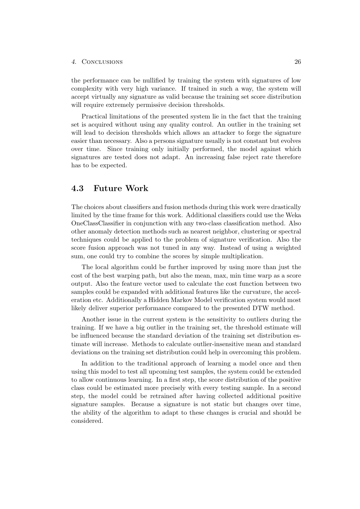#### 4. Conclusions 26

the performance can be nullified by training the system with signatures of low complexity with very high variance. If trained in such a way, the system will accept virtually any signature as valid because the training set score distribution will require extremely permissive decision thresholds.

Practical limitations of the presented system lie in the fact that the training set is acquired without using any quality control. An outlier in the training set will lead to decision thresholds which allows an attacker to forge the signature easier than necessary. Also a persons signature usually is not constant but evolves over time. Since training only initially performed, the model against which signatures are tested does not adapt. An increasing false reject rate therefore has to be expected.

## <span id="page-29-0"></span>4.3 Future Work

The choices about classifiers and fusion methods during this work were drastically limited by the time frame for this work. Additional classifiers could use the Weka OneClassClassifier in conjunction with any two-class classification method. Also other anomaly detection methods such as nearest neighbor, clustering or spectral techniques could be applied to the problem of signature verification. Also the score fusion approach was not tuned in any way. Instead of using a weighted sum, one could try to combine the scores by simple multiplication.

The local algorithm could be further improved by using more than just the cost of the best warping path, but also the mean, max, min time warp as a score output. Also the feature vector used to calculate the cost function between two samples could be expanded with additional features like the curvature, the acceleration etc. Additionally a Hidden Markov Model verification system would most likely deliver superior performance compared to the presented DTW method.

Another issue in the current system is the sensitivity to outliers during the training. If we have a big outlier in the training set, the threshold estimate will be influenced because the standard deviation of the training set distribution estimate will increase. Methods to calculate outlier-insensitive mean and standard deviations on the training set distribution could help in overcoming this problem.

In addition to the traditional approach of learning a model once and then using this model to test all upcoming test samples, the system could be extended to allow continuous learning. In a first step, the score distribution of the positive class could be estimated more precisely with every testing sample. In a second step, the model could be retrained after having collected additional positive signature samples. Because a signature is not static but changes over time, the ability of the algorithm to adapt to these changes is crucial and should be considered.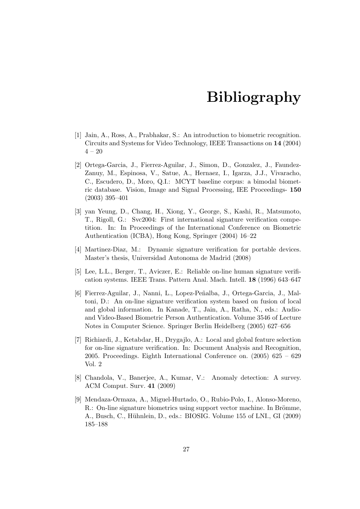# Bibliography

- <span id="page-30-1"></span><span id="page-30-0"></span>[1] Jain, A., Ross, A., Prabhakar, S.: An introduction to biometric recognition. Circuits and Systems for Video Technology, IEEE Transactions on 14 (2004)  $4 - 20$
- <span id="page-30-2"></span>[2] Ortega-Garcia, J., Fierrez-Aguilar, J., Simon, D., Gonzalez, J., Faundez-Zanuy, M., Espinosa, V., Satue, A., Hernaez, I., Igarza, J.J., Vivaracho, C., Escudero, D., Moro, Q.I.: MCYT baseline corpus: a bimodal biometric database. Vision, Image and Signal Processing, IEE Proceedings- 150 (2003) 395–401
- <span id="page-30-3"></span>[3] yan Yeung, D., Chang, H., Xiong, Y., George, S., Kashi, R., Matsumoto, T., Rigoll, G.: Svc2004: First international signature verification competition. In: In Proceedings of the International Conference on Biometric Authentication (ICBA), Hong Kong, Springer (2004) 16–22
- <span id="page-30-4"></span>[4] Martinez-Diaz, M.: Dynamic signature verification for portable devices. Master's thesis, Universidad Autonoma de Madrid (2008)
- <span id="page-30-6"></span><span id="page-30-5"></span>[5] Lee, L.L., Berger, T., Aviczer, E.: Reliable on-line human signature verification systems. IEEE Trans. Pattern Anal. Mach. Intell. 18 (1996) 643–647
- [6] Fierrez-Aguilar, J., Nanni, L., Lopez-Peñalba, J., Ortega-Garcia, J., Maltoni, D.: An on-line signature verification system based on fusion of local and global information. In Kanade, T., Jain, A., Ratha, N., eds.: Audioand Video-Based Biometric Person Authentication. Volume 3546 of Lecture Notes in Computer Science. Springer Berlin Heidelberg (2005) 627–656
- <span id="page-30-7"></span>[7] Richiardi, J., Ketabdar, H., Drygajlo, A.: Local and global feature selection for on-line signature verification. In: Document Analysis and Recognition, 2005. Proceedings. Eighth International Conference on.  $(2005)$  625 – 629 Vol. 2
- <span id="page-30-8"></span>[8] Chandola, V., Banerjee, A., Kumar, V.: Anomaly detection: A survey. ACM Comput. Surv. 41 (2009)
- <span id="page-30-9"></span>[9] Mendaza-Ormaza, A., Miguel-Hurtado, O., Rubio-Polo, I., Alonso-Moreno, R.: On-line signature biometrics using support vector machine. In Brömme, A., Busch, C., Hühnlein, D., eds.: BIOSIG. Volume 155 of LNI., GI (2009) 185–188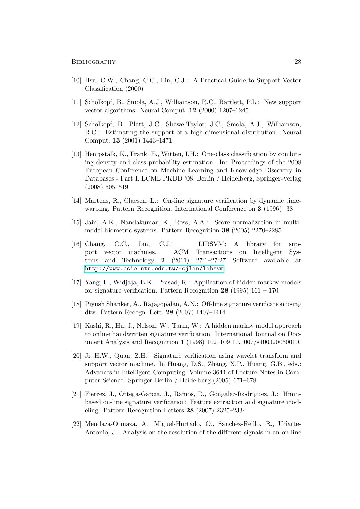- <span id="page-31-1"></span><span id="page-31-0"></span>[10] Hsu, C.W., Chang, C.C., Lin, C.J.: A Practical Guide to Support Vector Classification (2000)
- <span id="page-31-2"></span>[11] Schölkopf, B., Smola, A.J., Williamson, R.C., Bartlett, P.L.: New support vector algorithms. Neural Comput. 12 (2000) 1207–1245
- [12] Schölkopf, B., Platt, J.C., Shawe-Taylor, J.C., Smola, A.J., Williamson, R.C.: Estimating the support of a high-dimensional distribution. Neural Comput. 13 (2001) 1443–1471
- <span id="page-31-3"></span>[13] Hempstalk, K., Frank, E., Witten, I.H.: One-class classification by combining density and class probability estimation. In: Proceedings of the 2008 European Conference on Machine Learning and Knowledge Discovery in Databases - Part I. ECML PKDD '08, Berlin / Heidelberg, Springer-Verlag (2008) 505–519
- <span id="page-31-5"></span><span id="page-31-4"></span>[14] Martens, R., Claesen, L.: On-line signature verification by dynamic timewarping. Pattern Recognition, International Conference on 3 (1996) 38
- [15] Jain, A.K., Nandakumar, K., Ross, A.A.: Score normalization in multimodal biometric systems. Pattern Recognition 38 (2005) 2270–2285
- <span id="page-31-6"></span>[16] Chang, C.C., Lin, C.J.: LIBSVM: A library for support vector machines. ACM Transactions on Intelligent Systems and Technology 2 (2011) 27:1–27:27 Software available at <http://www.csie.ntu.edu.tw/~cjlin/libsvm>.
- <span id="page-31-7"></span>[17] Yang, L., Widjaja, B.K., Prasad, R.: Application of hidden markov models for signature verification. Pattern Recognition  $28$  (1995) 161 – 170
- <span id="page-31-9"></span><span id="page-31-8"></span>[18] Piyush Shanker, A., Rajagopalan, A.N.: Off-line signature verification using dtw. Pattern Recogn. Lett. 28 (2007) 1407–1414
- [19] Kashi, R., Hu, J., Nelson, W., Turin, W.: A hidden markov model approach to online handwritten signature verification. International Journal on Document Analysis and Recognition 1 (1998) 102–109 10.1007/s100320050010.
- <span id="page-31-10"></span>[20] Ji, H.W., Quan, Z.H.: Signature verification using wavelet transform and support vector machine. In Huang, D.S., Zhang, X.P., Huang, G.B., eds.: Advances in Intelligent Computing. Volume 3644 of Lecture Notes in Computer Science. Springer Berlin / Heidelberg (2005) 671–678
- <span id="page-31-11"></span>[21] Fierrez, J., Ortega-Garcia, J., Ramos, D., Gongalez-Rodriguez, J.: Hmmbased on-line signature verification: Feature extraction and signature modeling. Pattern Recognition Letters 28 (2007) 2325–2334
- <span id="page-31-12"></span>[22] Mendaza-Ormaza, A., Miguel-Hurtado, O., Sánchez-Reillo, R., Uriarte-Antonio, J.: Analysis on the resolution of the different signals in an on-line